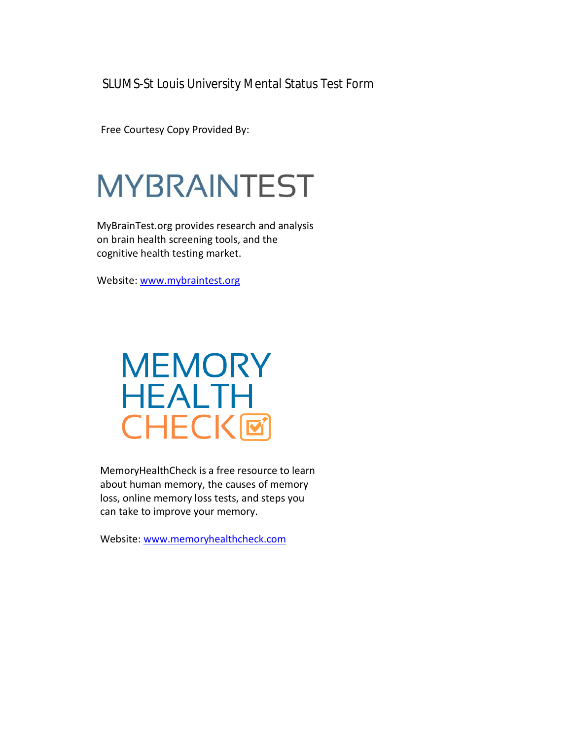SLUMS-St Louis University Mental Status Test Form

Free Courtesy Copy Provided By:

# **MYBRAINTEST**

MyBrainTest.org provides research and analysis on brain health screening tools, and the cognitive health testing market.

Website: [www.mybraintest.org](http://www.mybraintest.org/)

## **MEMORY HEALTH CHECK回**

MemoryHealthCheck is a free resource to learn about human memory, the causes of memory loss, online memory loss tests, and steps you can take to improve your memory.

Website: [www.memoryhealthcheck.com](http://www.memoryhealthcheck.com/)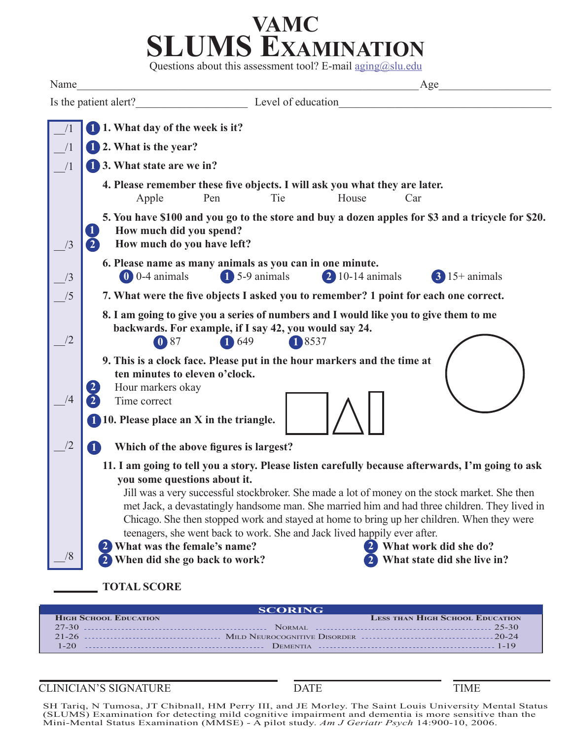## **VAMC SLUMS Examination**

Questions about this assessment tool? E-mail aging@slu.edu

| Name | Age<br><u> 1989 - Johann Barbara, margaret eta idazlearia (h. 1989).</u>                                                                                                                                                                                                                                                                                                                                                                                                                                                                                                                                                               |  |  |  |
|------|----------------------------------------------------------------------------------------------------------------------------------------------------------------------------------------------------------------------------------------------------------------------------------------------------------------------------------------------------------------------------------------------------------------------------------------------------------------------------------------------------------------------------------------------------------------------------------------------------------------------------------------|--|--|--|
|      | Level of education<br>Is the patient alert?                                                                                                                                                                                                                                                                                                                                                                                                                                                                                                                                                                                            |  |  |  |
|      | 1. What day of the week is it?                                                                                                                                                                                                                                                                                                                                                                                                                                                                                                                                                                                                         |  |  |  |
| /1   | 1 2. What is the year?                                                                                                                                                                                                                                                                                                                                                                                                                                                                                                                                                                                                                 |  |  |  |
| /1   | 1 3. What state are we in?                                                                                                                                                                                                                                                                                                                                                                                                                                                                                                                                                                                                             |  |  |  |
|      | 4. Please remember these five objects. I will ask you what they are later.<br>Pen<br>Tie<br>House<br>Apple<br>Car                                                                                                                                                                                                                                                                                                                                                                                                                                                                                                                      |  |  |  |
|      | 5. You have \$100 and you go to the store and buy a dozen apples for \$3 and a tricycle for \$20.<br>O<br>How much did you spend?<br>$\mathbf{2}$<br>How much do you have left?                                                                                                                                                                                                                                                                                                                                                                                                                                                        |  |  |  |
| /3   | 6. Please name as many animals as you can in one minute.<br>$\bullet$ 0-4 animals<br>$\overline{1}$ 5-9 animals<br>$\overline{2}$ 10-14 animals<br>$3$ 15+ animals                                                                                                                                                                                                                                                                                                                                                                                                                                                                     |  |  |  |
|      | 7. What were the five objects I asked you to remember? 1 point for each one correct.<br>8. I am going to give you a series of numbers and I would like you to give them to me<br>backwards. For example, if I say 42, you would say 24.<br>$\textcircled{\small{1}}$ 87<br>1 649<br>18537                                                                                                                                                                                                                                                                                                                                              |  |  |  |
|      |                                                                                                                                                                                                                                                                                                                                                                                                                                                                                                                                                                                                                                        |  |  |  |
|      | 9. This is a clock face. Please put in the hour markers and the time at<br>ten minutes to eleven o'clock.<br>Hour markers okay<br>Time correct<br>1 10. Please place an X in the triangle.                                                                                                                                                                                                                                                                                                                                                                                                                                             |  |  |  |
| /2   | Which of the above figures is largest?<br>10                                                                                                                                                                                                                                                                                                                                                                                                                                                                                                                                                                                           |  |  |  |
| /8   | 11. I am going to tell you a story. Please listen carefully because afterwards, I'm going to ask<br>you some questions about it.<br>Jill was a very successful stockbroker. She made a lot of money on the stock market. She then<br>met Jack, a devastatingly handsome man. She married him and had three children. They lived in<br>Chicago. She then stopped work and stayed at home to bring up her children. When they were<br>teenagers, she went back to work. She and Jack lived happily ever after.<br>2 What work did she do?<br>What was the female's name?<br>When did she go back to work?<br>What state did she live in? |  |  |  |
|      | <b>TOTAL SCORE</b>                                                                                                                                                                                                                                                                                                                                                                                                                                                                                                                                                                                                                     |  |  |  |

| <b>SCORING</b>               |                                        |  |  |
|------------------------------|----------------------------------------|--|--|
| <b>HIGH SCHOOL EDUCATION</b> | <b>LESS THAN HIGH SCHOOL EDUCATION</b> |  |  |
|                              |                                        |  |  |
|                              |                                        |  |  |
|                              |                                        |  |  |

CLINICIAN'S SIGNATURE DATE TIME

SH Tariq, N Tumosa, JT Chibnall, HM Perry III, and JE Morley. The Saint Louis University Mental Status (SLUMS) Examination for detecting mild cognitive impairment and dementia is more sensitive than the Mini-Mental Status Examination (MMSE) - A pilot study. *Am J Geriatr Psych* 14:900-10, 2006.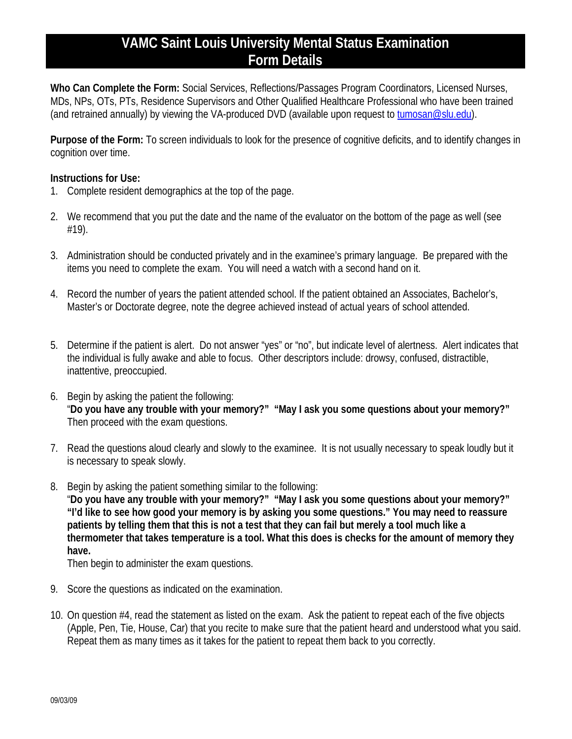### **VAMC Saint Louis University Mental Status Examination Form Details**

**Who Can Complete the Form:** Social Services, Reflections/Passages Program Coordinators, Licensed Nurses, MDs, NPs, OTs, PTs, Residence Supervisors and Other Qualified Healthcare Professional who have been trained (and retrained annually) by viewing the VA-produced DVD (available upon request to [tumosan@slu.edu\)](mailto:tumosan@slu.edu).

**Purpose of the Form:** To screen individuals to look for the presence of cognitive deficits, and to identify changes in cognition over time.

#### **Instructions for Use:**

- 1. Complete resident demographics at the top of the page.
- 2. We recommend that you put the date and the name of the evaluator on the bottom of the page as well (see #19).
- 3. Administration should be conducted privately and in the examinee's primary language. Be prepared with the items you need to complete the exam. You will need a watch with a second hand on it.
- 4. Record the number of years the patient attended school. If the patient obtained an Associates, Bachelor's, Master's or Doctorate degree, note the degree achieved instead of actual years of school attended.
- 5. Determine if the patient is alert. Do not answer "yes" or "no", but indicate level of alertness. Alert indicates that the individual is fully awake and able to focus. Other descriptors include: drowsy, confused, distractible, inattentive, preoccupied.
- 6. Begin by asking the patient the following: "**Do you have any trouble with your memory?" "May I ask you some questions about your memory?"**  Then proceed with the exam questions.
- 7. Read the questions aloud clearly and slowly to the examinee. It is not usually necessary to speak loudly but it is necessary to speak slowly.
- 8. Begin by asking the patient something similar to the following:

"**Do you have any trouble with your memory?" "May I ask you some questions about your memory?" "I'd like to see how good your memory is by asking you some questions." You may need to reassure patients by telling them that this is not a test that they can fail but merely a tool much like a thermometer that takes temperature is a tool. What this does is checks for the amount of memory they have.** 

Then begin to administer the exam questions.

- 9. Score the questions as indicated on the examination.
- 10. On question #4, read the statement as listed on the exam. Ask the patient to repeat each of the five objects (Apple, Pen, Tie, House, Car) that you recite to make sure that the patient heard and understood what you said. Repeat them as many times as it takes for the patient to repeat them back to you correctly.